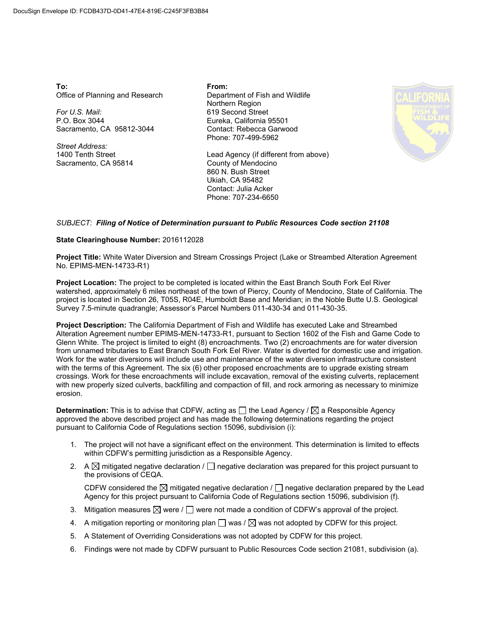**To:** Office of Planning and Research

*For U.S. Mail:* P.O. Box 3044 Sacramento, CA 95812-3044

*Street Address:* 1400 Tenth Street Sacramento, CA 95814 **From:** Department of Fish and Wildlife Northern Region 619 Second Street Eureka, California 95501 Contact: Rebecca Garwood Phone: 707-499-5962

Lead Agency (if different from above) County of Mendocino 860 N. Bush Street Ukiah, CA 95482 Contact: Julia Acker Phone: 707-234-6650



## *SUBJECT: Filing of Notice of Determination pursuant to Public Resources Code section 21108*

## **State Clearinghouse Number:** 2016112028

**Project Title:** White Water Diversion and Stream Crossings Project (Lake or Streambed Alteration Agreement No. EPIMS-MEN-14733-R1)

**Project Location:** The project to be completed is located within the East Branch South Fork Eel River watershed, approximately 6 miles northeast of the town of Piercy, County of Mendocino, State of California. The project is located in Section 26, T05S, R04E, Humboldt Base and Meridian; in the Noble Butte U.S. Geological Survey 7.5-minute quadrangle; Assessor's Parcel Numbers 011-430-34 and 011-430-35.

**Project Description:** The California Department of Fish and Wildlife has executed Lake and Streambed Alteration Agreement number EPIMS-MEN-14733-R1, pursuant to Section 1602 of the Fish and Game Code to Glenn White. The project is limited to eight (8) encroachments. Two (2) encroachments are for water diversion from unnamed tributaries to East Branch South Fork Eel River. Water is diverted for domestic use and irrigation. Work for the water diversions will include use and maintenance of the water diversion infrastructure consistent with the terms of this Agreement. The six (6) other proposed encroachments are to upgrade existing stream crossings. Work for these encroachments will include excavation, removal of the existing culverts, replacement with new properly sized culverts, backfilling and compaction of fill, and rock armoring as necessary to minimize erosion.

 $\bm{\mathsf{Determination:}}$  This is to advise that CDFW, acting as  $\Box$  the Lead Agency /  $\boxtimes$  a Responsible Agency approved the above described project and has made the following determinations regarding the project pursuant to California Code of Regulations section 15096, subdivision (i):

- 1. The project will not have a significant effect on the environment. This determination is limited to effects within CDFW's permitting jurisdiction as a Responsible Agency.
- 2.  $\;\mathsf{A} \boxtimes$  mitigated negative declaration /  $\Box$  negative declaration was prepared for this project pursuant to the provisions of CEQA.

CDFW considered the  $\boxtimes$  mitigated negative declaration /  $\Box$  negative declaration prepared by the Lead Agency for this project pursuant to California Code of Regulations section 15096, subdivision (f).

- 3. Mitigation measures  $\boxtimes$  were /  $\Box$  were not made a condition of CDFW's approval of the project.
- 4.  $\,$  A mitigation reporting or monitoring plan  $\Box$  was /  $\boxtimes$  was not adopted by CDFW for this project.
- 5. A Statement of Overriding Considerations was not adopted by CDFW for this project.
- 6. Findings were not made by CDFW pursuant to Public Resources Code section 21081, subdivision (a).